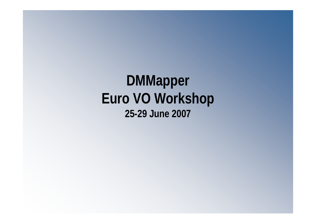**DMMapper Euro VO Workshop 25-29 June 2007**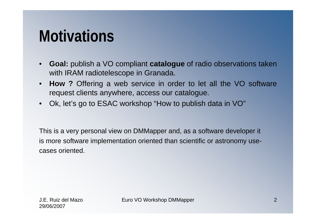#### **Motivations**

- • **Goal:** publish a VO compliant **catalogue** of radio observations taken with IRAM radiotelescope in Granada.
- $\bullet$  **How ?** Offering a web service in order to let all the VO software request clients anywhere, access our catalogue.
- Ok, let's go to ESAC workshop "How to publish data in VO"

This is a very personal view on DMMapper and, as a software developer it is more software implementation oriented than scientific or astronomy usecases oriented.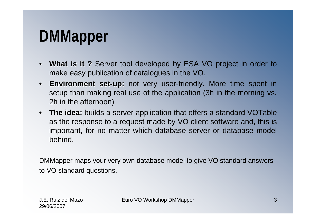# **DMMapper**

- What is it ? Server tool developed by ESA VO project in order to make easy publication of catalogues in the VO.
- **Environment set-up:** not very user-friendly. More time spent in setup than making real use of the application (3h in the morning vs. 2h in the afternoon)
- The idea: builds a server application that offers a standard VOTable as the response to a request made by VO client software and, this is important, for no matter which database server or database model behind.

DMMapper maps your very own database model to give VO standard answers to VO standard questions.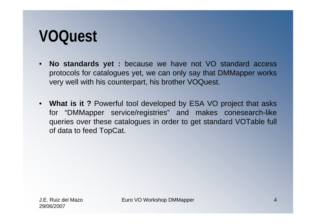### **VOQuest**

- **No standards yet :** because we have not VO standard access protocols for catalogues yet, we can only say that DMMapper works very well with his counterpart, his brother VOQuest.
- What is it ? Powerful tool developed by ESA VO project that asks for "DMMapper service/registries" and makes conesearch-like queries over these catalogues in order to get standard VOTable full of data to feed TopCat.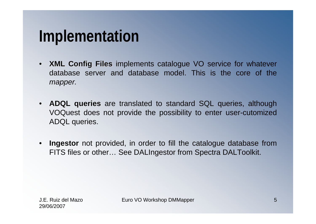## **Implementation**

- **XML Config Files** implements catalogue VO service for whatever database server and database model. This is the core of the *mapper.*
- **ADQL queries** are translated to standard SQL queries, although VOQuest does not provide the possibility to enter user-cutomized ADQL queries.
- **Ingestor Ingestor** not provided, in order to fill the catalogue database from FITS files or other… See DALIngestor from Spectra DALToolkit.